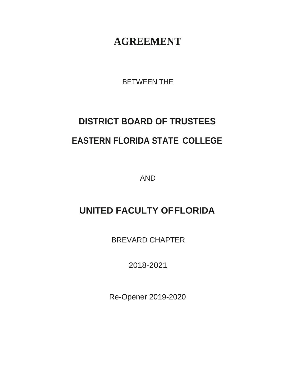## **AGREEMENT**

BETWEEN THE

# **DISTRICT BOARD OF TRUSTEES EASTERN FLORIDA STATE COLLEGE**

AND

## **UNITED FACULTY OFFLORIDA**

BREVARD CHAPTER

2018-2021

Re-Opener 2019-2020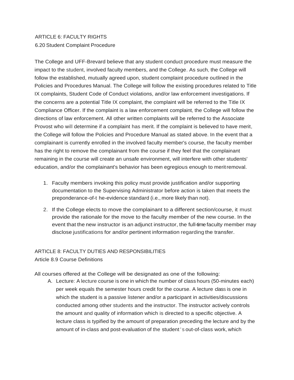### ARTICLE 6: FACULTY RIGHTS 6.20 Student Complaint Procedure

The College and UFF-Brevard believe that any student conduct procedure must measure the impact to the student, involved faculty members, and the College. As such, the College will follow the established, mutually agreed upon, student complaint procedure outlined in the Policies and Procedures Manual. The College will follow the existing procedures related to Title IX complaints, Student Code of Conduct violations, and/or law enforcement investigations. If the concerns are a potential Title IX complaint, the complaint will be referred to the Title IX Compliance Officer. If the complaint is a law enforcement complaint, the College will follow the directions of law enforcement. All other written complaints will be referred to the Associate Provost who will determine if a complaint has merit. If the complaint is believed to have merit, the College will follow the Policies and Procedure Manual as stated above. In the event that a complainant is currently enrolled in the involved faculty member's course, the faculty member has the right to remove the complainant from the course if they feel that the complainant remaining in the course will create an unsafe environment, will interfere with other students' education, and/or the complainant's behavior has been egregious enough to meritremoval.

- 1. Faculty members invoking this policy must provide justification and/or supporting documentation to the Supervising Administrator before action is taken that meets the preponderance-of-t he-evidence standard (i.e., more likely than not).
- 2. If the College elects to move the complainant to a different section/course, it must provide the rationale for the move to the faculty member of the new course. In the event that the new instructor is an adjunct instructor, the full-time faculty member may disclose justifications for and/or pertinent information regarding the transfer.

#### ARTICLE 8: FACULTY DUTIES AND RESPONSIBILITIES

Article 8.9 Course Definitions

All courses offered at the College will be designated as one of the following:

A. Lecture: A lecture course is one in which the number of class hours (50-minutes each) per week equals the semester hours credit for the course. A lecture class is one in which the student is a passive listener and/or a participant in activities/discussions conducted among other students and the instructor. The instructor actively controls the amount and quality of information which is directed to a specific objective. A lecture class is typified by the amount of preparation preceding the lecture and by the amount of in-class and post-evaluation of the student ' s out-of-class work, which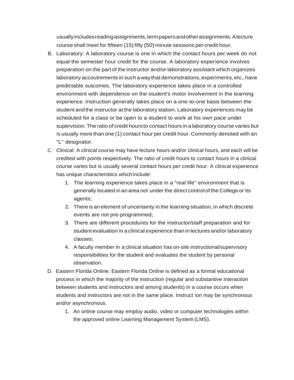usuallyincludesreadingassignments,termpapersandotherassignments.Alecture course shall meet for fifteen (15) fifty (50) minute sessions per credit hour.

- B. Laboratory: A laboratory course is one in which the contact hours per week do not equal the semester hour credit for the course. A laboratory experience involves preparation on the part of the instructor and/or laboratory assistant which organizes laboratory accoutrements in such a waythat demonstrations,experiments,etc.,have predictable outcomes. The laboratory experience takes place in a controlled environment with dependence on the student's motor involvement in the learning experience. Instruction generally takes place on a one-to-one basis between the student and the instructor at the laboratory station. Laboratory experiences may be scheduled for a class or be open to a student to work at his own pace under supervision. The ratio of credit hours to contact hours in alaboratory course varies but is usually more than one (1) contact hour per credit hour. Commonly denoted with an "L" designator.
- C. Clinical: A clinical course may have lecture hours and/or clinical hours, and each will be credited with points respectively. The ratio of credit hours to contact hours in a clinical course varies but is usually several contact hours per credit hour. A clinical experience has unique characteristics which include:
	- 1. The learning experience takes place in a "real life" environment that is generally located in an area not under the direct control of the College or its agents;
	- 2. There is an element of uncertainty in the learning situation, in which discrete events are not pre-programmed;
	- 3. There are different procedures for the instructor/staff preparation and for student evaluation in a clinical experience than in lectures and/or laboratory classes;
	- 4. A faculty member in a clinical situation has on-site instructional/supervisory responsibilities for the student and evaluates the student by personal observation.
- D. Eastern Florida Online: Eastern Florida Online is defined as a formal educational process in which the majority of the instruction (regular and substantive interaction between students and instructors and among students) in a course occurs when students and instructors are not in the same place. Instruct ion may be synchronous and/or asynchronous.
	- 1. An online course may employ audio, video or computer technologies within the approved online Learning Management System (LMS).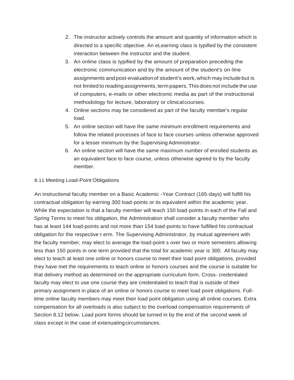- 2. The instructor actively controls the amount and quantity of information which is directed to a specific objective. An eLearning class is typified by the consistent interaction between the instructor and the student.
- 3. An online class is typified by the amount of preparation preceding the electronic communication and by the amount of the student's on-line assignments andpost-evaluationof student's work,which may include but is not limited to readingassignments, term papers.Thisdoes not include the use of computers, e-mails or other electronic media as part of the instructional methodology for lecture, laboratory or clinicalcourses.
- 4. Online sections may be considered as part of the faculty member's regular load.
- 5. An online section will have the same minimum enrollment requirements and follow the related processes of face to face courses unless otherwise approved for a lesser minimum by the Supervising Administrator.
- 6. An online section will have the same maximum number of enrolled students as an equivalent face to face course, unless otherwise agreed to by the faculty member.

#### 8.11 Meeting Load-Point Obligations

An instructional faculty member on a Basic Academic -Year Contract (165-days) will fulfill his contractual obligation by earning 300 load-points or its equivalent within the academic year. While the expectation is that a faculty member will teach 150 load-points in each of the Fall and Spring Terms to meet his obligation, the Administration shall consider a faculty member who has at least 144 load-points and not more than 154 load-points to have fulfilled his contractual obligation for the respective t erm. The Supervising Administrator, by mutual agreement with the faculty member, may elect to average the load-point s over two or more semesters allowing less than 150 points in one term provided that the total for academic year is 300. All faculty may elect to teach at least one online or honors course to meet their load point obligations, provided they have met the requirements to teach online or honors courses and the course is suitable for that delivery method as determined on the appropriate curriculum form. Cross- credentialed faculty may elect to use one course they are credentialed to teach that is outside of their primary assignment in place of an online or honors course to meet load point obligations. Fulltime online faculty members may meet their load point obligation using all online courses. Extra compensation for all overloads is also subject to the overload compensation requirements of Section 8.12 below. Load point forms should be turned in by the end of the second week of class except in the case of extenuatingcircumstances.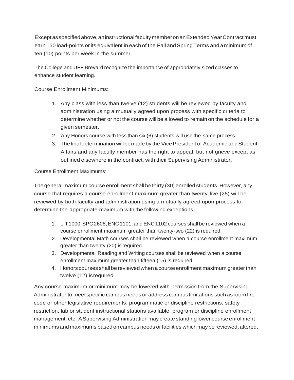Except as specified above, an instructional faculty member on an Extended Year Contract must earn 150 load-points or its equivalent in each of the Fall and Spring Terms and a minimum of ten (10) points per week in the summer.

The College and UFF Brevard recognize the importance of appropriately sized classes to enhance student learning.

Course Enrollment Minimums:

- 1. Any class with less than twelve (12) students will be reviewed by faculty and administration using a mutually agreed upon process with specific criteria to determine whether or not the course will be allowed to remain on the schedule for a given semester.
- 2. Any Honors course with less than six (6) students will use the same process.
- 3. The final determination will be made by the Vice President of Academic and Student Affairs and any faculty member has the right to appeal, but not grieve except as outlined elsewhere in the contract, with their Supervising Administrator.

Course Enrollment Maximums:

The general maximum course enrollment shall be thirty (30) enrolled students.However, any course that requires a course enrollment maximum greater than twenty-five (25) will be reviewed by both faculty and administration using a mutually agreed upon process to determine the appropriate maximum with the following exceptions:

- 1. LIT1000,SPC 2608,ENC1101, and ENC1102 courses shall be reviewed when a course enrollment maximum greater than twenty-two (22) is required.
- 2. Developmental Math courses shall be reviewed when a course enrollment maximum greater than twenty (20) is required.
- 3. Developmental Reading and Writing courses shall be reviewed when a course enrollment maximum greater than fifteen (15) is required.
- 4. Honors courses shallbe reviewed when acourse enrollment maximum greaterthan twelve (12) isrequired.

Any course maximum or minimum may be lowered with permission from the Supervising Administrator to meet specific campus needs or address campus limitations such as room fire code or other legislative requirements, programmatic or discipline restrictions, safety restriction, lab or student instructional stations available, program or discipline enrollment management, etc. ASupervising Administration may create standinglower course enrollment minimums and maximums basedoncampus needs or facilities which maybe reviewed, altered,